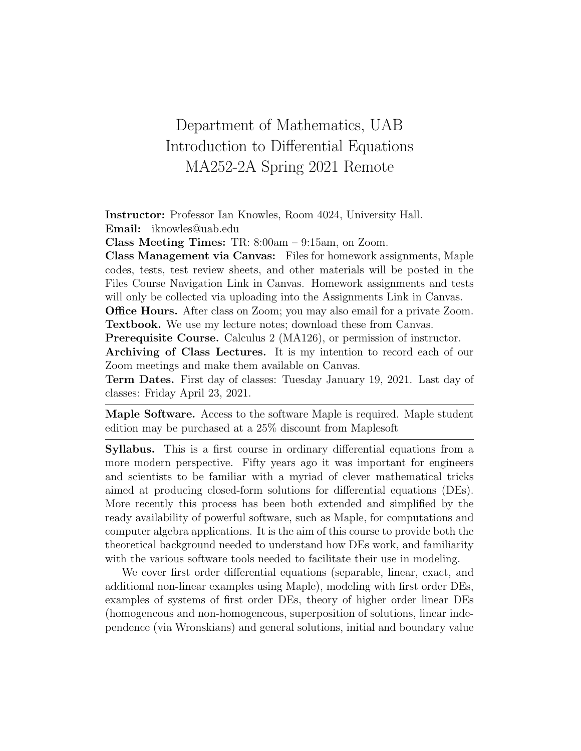## Department of Mathematics, UAB Introduction to Differential Equations MA252-2A Spring 2021 Remote

Instructor: Professor Ian Knowles, Room 4024, University Hall. Email: iknowles@uab.edu

Class Meeting Times: TR: 8:00am – 9:15am, on Zoom.

Class Management via Canvas: Files for homework assignments, Maple codes, tests, test review sheets, and other materials will be posted in the Files Course Navigation Link in Canvas. Homework assignments and tests will only be collected via uploading into the Assignments Link in Canvas.

Office Hours. After class on Zoom; you may also email for a private Zoom. Textbook. We use my lecture notes; download these from Canvas.

Prerequisite Course. Calculus 2 (MA126), or permission of instructor.

Archiving of Class Lectures. It is my intention to record each of our Zoom meetings and make them available on Canvas.

Term Dates. First day of classes: Tuesday January 19, 2021. Last day of classes: Friday April 23, 2021.

Maple Software. Access to the software Maple is required. Maple student edition may be purchased at a 25% discount from Maplesoft

Syllabus. This is a first course in ordinary differential equations from a more modern perspective. Fifty years ago it was important for engineers and scientists to be familiar with a myriad of clever mathematical tricks aimed at producing closed-form solutions for differential equations (DEs). More recently this process has been both extended and simplified by the ready availability of powerful software, such as Maple, for computations and computer algebra applications. It is the aim of this course to provide both the theoretical background needed to understand how DEs work, and familiarity with the various software tools needed to facilitate their use in modeling.

We cover first order differential equations (separable, linear, exact, and additional non-linear examples using Maple), modeling with first order DEs, examples of systems of first order DEs, theory of higher order linear DEs (homogeneous and non-homogeneous, superposition of solutions, linear independence (via Wronskians) and general solutions, initial and boundary value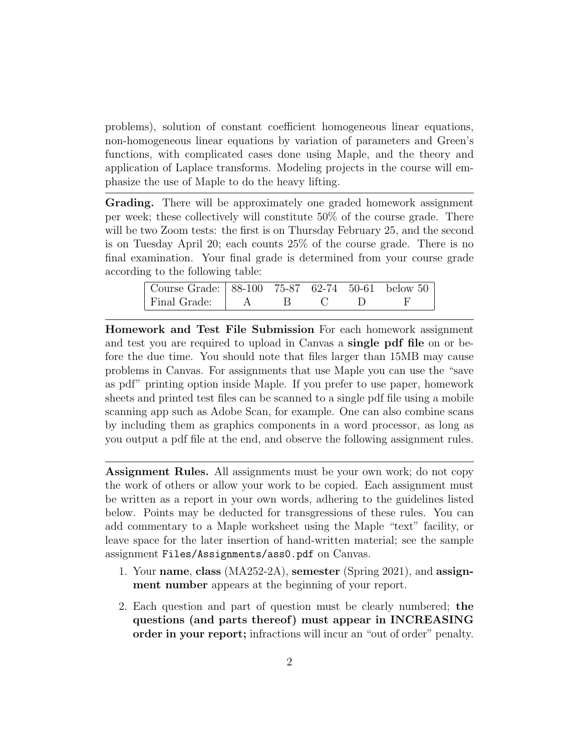problems), solution of constant coefficient homogeneous linear equations, non-homogeneous linear equations by variation of parameters and Green's functions, with complicated cases done using Maple, and the theory and application of Laplace transforms. Modeling projects in the course will emphasize the use of Maple to do the heavy lifting.

Grading. There will be approximately one graded homework assignment per week; these collectively will constitute 50% of the course grade. There will be two Zoom tests: the first is on Thursday February 25, and the second is on Tuesday April 20; each counts 25% of the course grade. There is no final examination. Your final grade is determined from your course grade according to the following table:

| Course Grade: 88-100 75-87 62-74 50-61 below 50 |  |  |  |
|-------------------------------------------------|--|--|--|
| Final Grade:   A                                |  |  |  |

Homework and Test File Submission For each homework assignment and test you are required to upload in Canvas a single pdf file on or before the due time. You should note that files larger than 15MB may cause problems in Canvas. For assignments that use Maple you can use the "save as pdf" printing option inside Maple. If you prefer to use paper, homework sheets and printed test files can be scanned to a single pdf file using a mobile scanning app such as Adobe Scan, for example. One can also combine scans by including them as graphics components in a word processor, as long as you output a pdf file at the end, and observe the following assignment rules.

Assignment Rules. All assignments must be your own work; do not copy the work of others or allow your work to be copied. Each assignment must be written as a report in your own words, adhering to the guidelines listed below. Points may be deducted for transgressions of these rules. You can add commentary to a Maple worksheet using the Maple "text" facility, or leave space for the later insertion of hand-written material; see the sample assignment Files/Assignments/ass0.pdf on Canvas.

- 1. Your name, class (MA252-2A), semester (Spring 2021), and assignment number appears at the beginning of your report.
- 2. Each question and part of question must be clearly numbered; the questions (and parts thereof) must appear in INCREASING order in your report; infractions will incur an "out of order" penalty.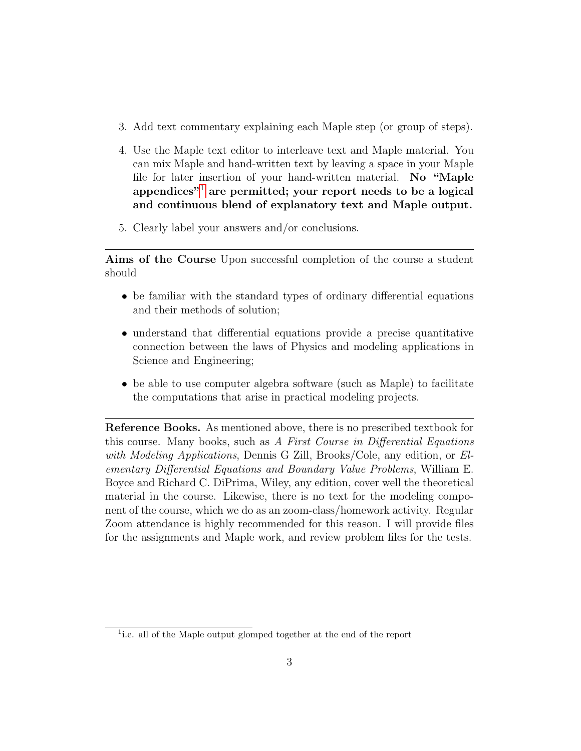- 3. Add text commentary explaining each Maple step (or group of steps).
- 4. Use the Maple text editor to interleave text and Maple material. You can mix Maple and hand-written text by leaving a space in your Maple file for later insertion of your hand-written material. No "Maple appendices"<sup>[1](#page-2-0)</sup> are permitted; your report needs to be a logical and continuous blend of explanatory text and Maple output.
- 5. Clearly label your answers and/or conclusions.

Aims of the Course Upon successful completion of the course a student should

- be familiar with the standard types of ordinary differential equations and their methods of solution;
- understand that differential equations provide a precise quantitative connection between the laws of Physics and modeling applications in Science and Engineering;
- be able to use computer algebra software (such as Maple) to facilitate the computations that arise in practical modeling projects.

Reference Books. As mentioned above, there is no prescribed textbook for this course. Many books, such as A First Course in Differential Equations with Modeling Applications, Dennis G Zill, Brooks/Cole, any edition, or Elementary Differential Equations and Boundary Value Problems, William E. Boyce and Richard C. DiPrima, Wiley, any edition, cover well the theoretical material in the course. Likewise, there is no text for the modeling component of the course, which we do as an zoom-class/homework activity. Regular Zoom attendance is highly recommended for this reason. I will provide files for the assignments and Maple work, and review problem files for the tests.

<span id="page-2-0"></span><sup>&</sup>lt;sup>1</sup>i.e. all of the Maple output glomped together at the end of the report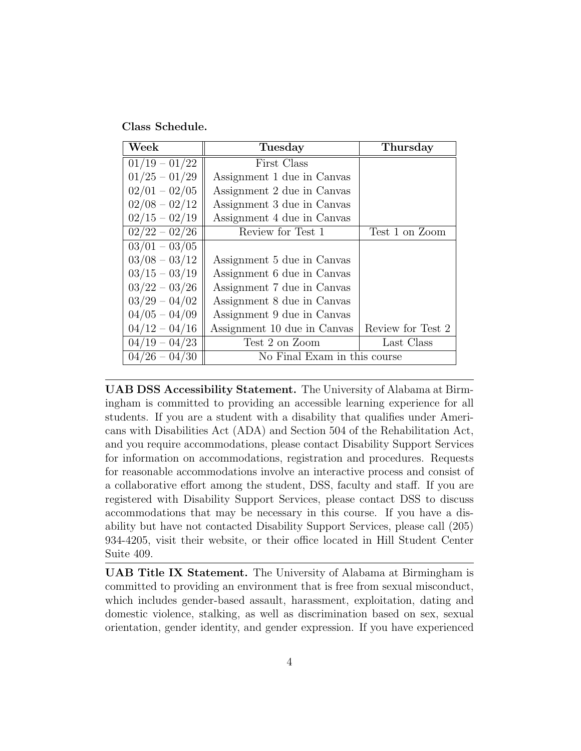Class Schedule.

| Week            | <b>Tuesday</b>               | Thursday          |  |  |
|-----------------|------------------------------|-------------------|--|--|
| $01/19 - 01/22$ | First Class                  |                   |  |  |
| $01/25 - 01/29$ | Assignment 1 due in Canvas   |                   |  |  |
| $02/01 - 02/05$ | Assignment 2 due in Canvas   |                   |  |  |
| $02/08 - 02/12$ | Assignment 3 due in Canvas   |                   |  |  |
| $02/15 - 02/19$ | Assignment 4 due in Canvas   |                   |  |  |
| $02/22 - 02/26$ | Review for Test 1            | Test 1 on Zoom    |  |  |
| $03/01 - 03/05$ |                              |                   |  |  |
| $03/08 - 03/12$ | Assignment 5 due in Canvas   |                   |  |  |
| $03/15 - 03/19$ | Assignment 6 due in Canvas   |                   |  |  |
| $03/22 - 03/26$ | Assignment 7 due in Canvas   |                   |  |  |
| $03/29 - 04/02$ | Assignment 8 due in Canvas   |                   |  |  |
| $04/05 - 04/09$ | Assignment 9 due in Canvas   |                   |  |  |
| $04/12 - 04/16$ | Assignment 10 due in Canvas  | Review for Test 2 |  |  |
| $04/19 - 04/23$ | Test 2 on Zoom               | Last Class        |  |  |
| $04/26 - 04/30$ | No Final Exam in this course |                   |  |  |

UAB DSS Accessibility Statement. The University of Alabama at Birmingham is committed to providing an accessible learning experience for all students. If you are a student with a disability that qualifies under Americans with Disabilities Act (ADA) and Section 504 of the Rehabilitation Act, and you require accommodations, please contact Disability Support Services for information on accommodations, registration and procedures. Requests for reasonable accommodations involve an interactive process and consist of a collaborative effort among the student, DSS, faculty and staff. If you are registered with Disability Support Services, please contact DSS to discuss accommodations that may be necessary in this course. If you have a disability but have not contacted Disability Support Services, please call (205) 934-4205, visit their website, or their office located in Hill Student Center Suite 409.

UAB Title IX Statement. The University of Alabama at Birmingham is committed to providing an environment that is free from sexual misconduct, which includes gender-based assault, harassment, exploitation, dating and domestic violence, stalking, as well as discrimination based on sex, sexual orientation, gender identity, and gender expression. If you have experienced